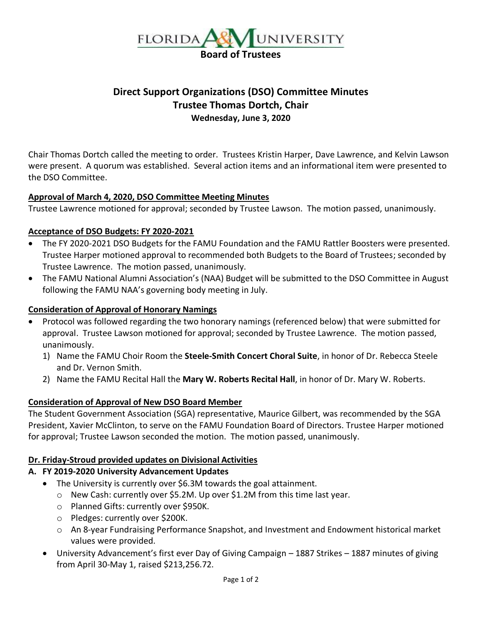

# **Direct Support Organizations (DSO) Committee Minutes Trustee Thomas Dortch, Chair Wednesday, June 3, 2020**

Chair Thomas Dortch called the meeting to order. Trustees Kristin Harper, Dave Lawrence, and Kelvin Lawson were present. A quorum was established. Several action items and an informational item were presented to the DSO Committee.

### **Approval of March 4, 2020, DSO Committee Meeting Minutes**

Trustee Lawrence motioned for approval; seconded by Trustee Lawson. The motion passed, unanimously.

#### **Acceptance of DSO Budgets: FY 2020-2021**

- The FY 2020-2021 DSO Budgets for the FAMU Foundation and the FAMU Rattler Boosters were presented. Trustee Harper motioned approval to recommended both Budgets to the Board of Trustees; seconded by Trustee Lawrence. The motion passed, unanimously.
- The FAMU National Alumni Association's (NAA) Budget will be submitted to the DSO Committee in August following the FAMU NAA's governing body meeting in July.

#### **Consideration of Approval of Honorary Namings**

- Protocol was followed regarding the two honorary namings (referenced below) that were submitted for approval. Trustee Lawson motioned for approval; seconded by Trustee Lawrence. The motion passed, unanimously.
	- 1) Name the FAMU Choir Room the **Steele-Smith Concert Choral Suite**, in honor of Dr. Rebecca Steele and Dr. Vernon Smith.
	- 2) Name the FAMU Recital Hall the **Mary W. Roberts Recital Hall**, in honor of Dr. Mary W. Roberts.

### **Consideration of Approval of New DSO Board Member**

The Student Government Association (SGA) representative, Maurice Gilbert, was recommended by the SGA President, Xavier McClinton, to serve on the FAMU Foundation Board of Directors. Trustee Harper motioned for approval; Trustee Lawson seconded the motion. The motion passed, unanimously.

#### **Dr. Friday-Stroud provided updates on Divisional Activities**

### **A. FY 2019-2020 University Advancement Updates**

- The University is currently over \$6.3M towards the goal attainment.
	- o New Cash: currently over \$5.2M. Up over \$1.2M from this time last year.
	- o Planned Gifts: currently over \$950K.
	- o Pledges: currently over \$200K.
	- o An 8-year Fundraising Performance Snapshot, and Investment and Endowment historical market values were provided.
- University Advancement's first ever Day of Giving Campaign 1887 Strikes 1887 minutes of giving from April 30-May 1, raised \$213,256.72.